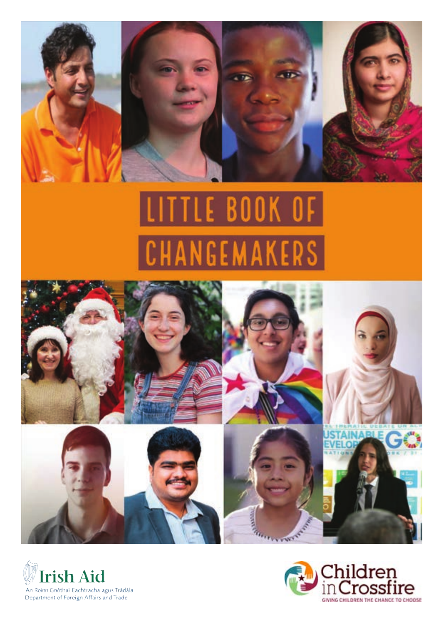

# **LITTLE BOOK OF** NGEMAKERS





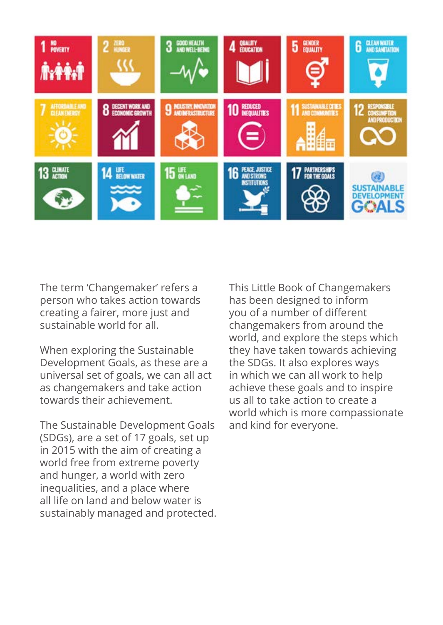

The term 'Changemaker' refers a person who takes action towards creating a fairer, more just and sustainable world for all.

When exploring the Sustainable Development Goals, as these are a universal set of goals, we can all act as changemakers and take action towards their achievement.

The Sustainable Development Goals (SDGs), are a set of 17 goals, set up in 2015 with the aim of creating a world free from extreme poverty and hunger, a world with zero inequalities, and a place where all life on land and below water is sustainably managed and protected. This Little Book of Changemakers has been designed to inform you of a number of different changemakers from around the world, and explore the steps which they have taken towards achieving the SDGs. It also explores ways in which we can all work to help achieve these goals and to inspire us all to take action to create a world which is more compassionate and kind for everyone.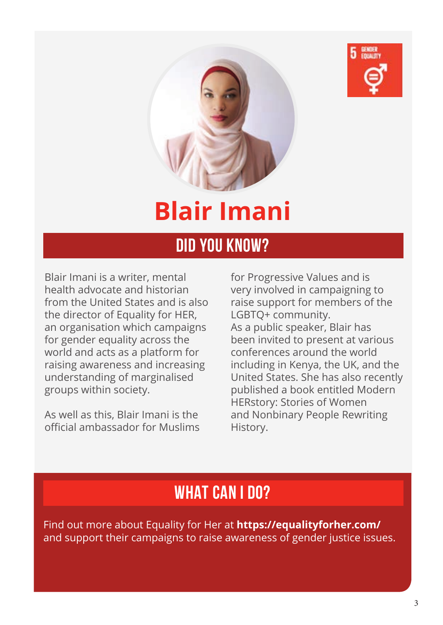



### **Blair Imani**

#### **DID YOU KNOW?**

Blair Imani is a writer, mental health advocate and historian from the United States and is also the director of Equality for HER, an organisation which campaigns for gender equality across the world and acts as a platform for raising awareness and increasing understanding of marginalised groups within society.

As well as this, Blair Imani is the official ambassador for Muslims

for Progressive Values and is very involved in campaigning to raise support for members of the LGBTQ+ community. As a public speaker, Blair has been invited to present at various conferences around the world including in Kenya, the UK, and the United States. She has also recently published a book entitled Modern HERstory: Stories of Women and Nonbinary People Rewriting History.

#### **WHAT CAN I DO?**

Find out more about Equality for Her at **https://equalityforher.com/**  and support their campaigns to raise awareness of gender justice issues.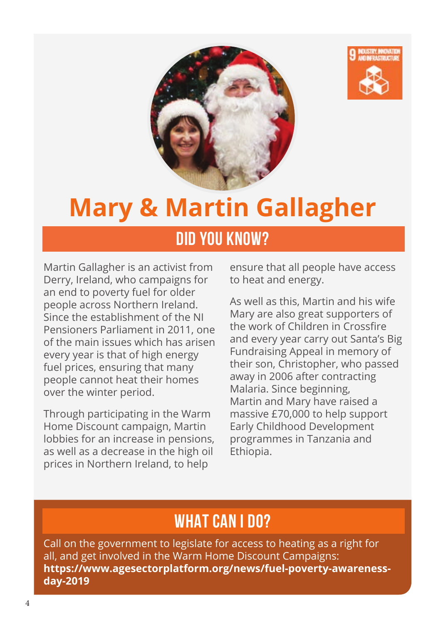



### **Mary & Martin Gallagher**

#### **DID YOU KNOW?**

Martin Gallagher is an activist from Derry, Ireland, who campaigns for an end to poverty fuel for older people across Northern Ireland. Since the establishment of the NI Pensioners Parliament in 2011, one of the main issues which has arisen every year is that of high energy fuel prices, ensuring that many people cannot heat their homes over the winter period.

Through participating in the Warm Home Discount campaign, Martin lobbies for an increase in pensions, as well as a decrease in the high oil prices in Northern Ireland, to help

ensure that all people have access to heat and energy.

As well as this, Martin and his wife Mary are also great supporters of the work of Children in Crossfire and every year carry out Santa's Big Fundraising Appeal in memory of their son, Christopher, who passed away in 2006 after contracting Malaria. Since beginning, Martin and Mary have raised a massive £70,000 to help support Early Childhood Development programmes in Tanzania and Ethiopia.

#### **WHAT CAN I DO?**

Call on the government to legislate for access to heating as a right for all, and get involved in the Warm Home Discount Campaigns: **https://www.agesectorplatform.org/news/fuel-poverty-awarenessday-2019**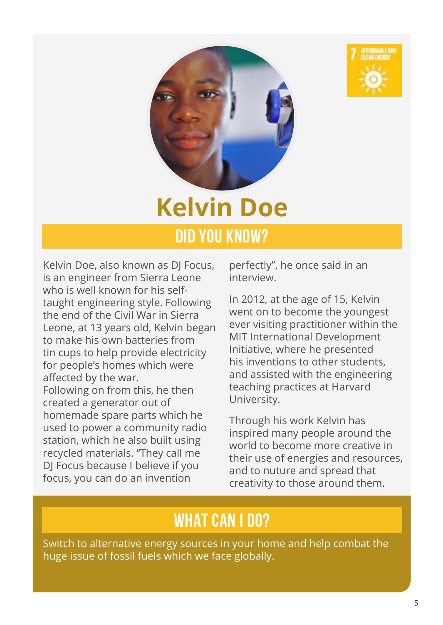



### **Kelvin Doe DID YOU KNOW?**

Kelvin Doe, also known as DJ Focus, is an engineer from Sierra Leone who is well known for his selftaught engineering style. Following the end of the Civil War in Sierra Leone, at 13 years old, Kelvin began to make his own batteries from tin cups to help provide electricity for people's homes which were affected by the war. Following on from this, he then created a generator out of homemade spare parts which he used to power a community radio

station, which he also built using recycled materials. "They call me DJ Focus because I believe if you focus, you can do an invention

perfectly", he once said in an interview.

In 2012, at the age of 15, Kelvin went on to become the youngest ever visiting practitioner within the MIT International Development Initiative, where he presented his inventions to other students, and assisted with the engineering teaching practices at Harvard University.

Through his work Kelvin has inspired many people around the world to become more creative in their use of energies and resources, and to nuture and spread that creativity to those around them.

#### **WHAT CAN I DO?**

Switch to alternative energy sources in your home and help combat the huge issue of fossil fuels which we face globally.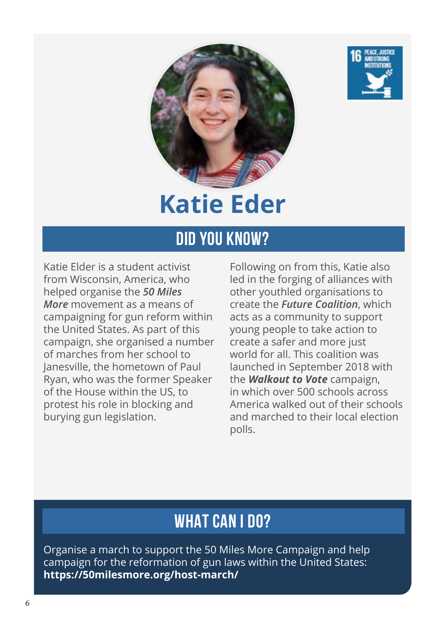



### **Katie Eder**

### **DID YOU KNOW?**

Katie Elder is a student activist from Wisconsin, America, who helped organise the *50 Miles More* movement as a means of campaigning for gun reform within the United States. As part of this campaign, she organised a number of marches from her school to Janesville, the hometown of Paul Ryan, who was the former Speaker of the House within the US, to protest his role in blocking and burying gun legislation.

Following on from this, Katie also led in the forging of alliances with other youthled organisations to create the *Future Coalition*, which acts as a community to support young people to take action to create a safer and more just world for all. This coalition was launched in September 2018 with the *Walkout to Vote* campaign, in which over 500 schools across America walked out of their schools and marched to their local election polls.

#### **WHAT CAN I DO?**

Organise a march to support the 50 Miles More Campaign and help campaign for the reformation of gun laws within the United States: **https://50milesmore.org/host-march/**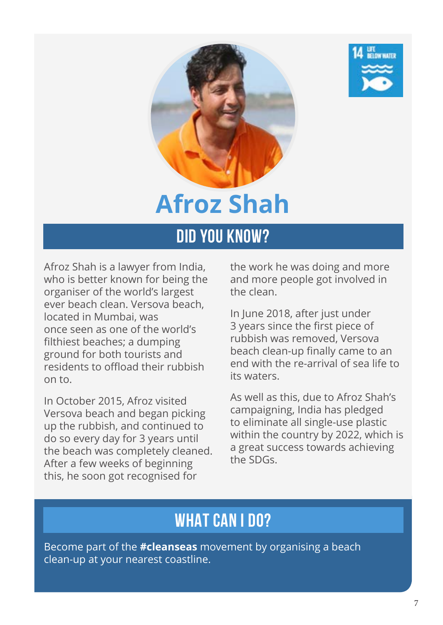



# **Afroz Shah**

#### **DID YOU KNOW?**

Afroz Shah is a lawyer from India, who is better known for being the organiser of the world's largest ever beach clean. Versova beach, located in Mumbai, was once seen as one of the world's filthiest beaches; a dumping ground for both tourists and residents to offload their rubbish on to.

In October 2015, Afroz visited Versova beach and began picking up the rubbish, and continued to do so every day for 3 years until the beach was completely cleaned. After a few weeks of beginning this, he soon got recognised for

the work he was doing and more and more people got involved in the clean.

In June 2018, after just under 3 years since the first piece of rubbish was removed, Versova beach clean-up finally came to an end with the re-arrival of sea life to its waters.

As well as this, due to Afroz Shah's campaigning, India has pledged to eliminate all single-use plastic within the country by 2022, which is a great success towards achieving the SDGs.

#### **WHAT CAN I DO?**

Become part of the **#cleanseas** movement by organising a beach clean-up at your nearest coastline.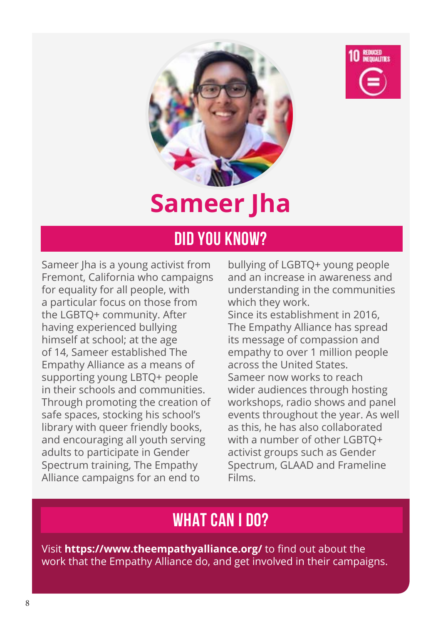



## **Sameer Jha**

#### **DID YOU KNOW?**

Sameer Jha is a young activist from Fremont, California who campaigns for equality for all people, with a particular focus on those from the LGBTQ+ community. After having experienced bullying himself at school; at the age of 14, Sameer established The Empathy Alliance as a means of supporting young LBTQ+ people in their schools and communities. Through promoting the creation of safe spaces, stocking his school's library with queer friendly books, and encouraging all youth serving adults to participate in Gender Spectrum training, The Empathy Alliance campaigns for an end to

bullying of LGBTQ+ young people and an increase in awareness and understanding in the communities which they work. Since its establishment in 2016, The Empathy Alliance has spread its message of compassion and empathy to over 1 million people across the United States. Sameer now works to reach wider audiences through hosting workshops, radio shows and panel events throughout the year. As well as this, he has also collaborated with a number of other LGBTQ+ activist groups such as Gender Spectrum, GLAAD and Frameline Films.

#### **WHAT CAN I DO?**

Visit **https://www.theempathyalliance.org/** to find out about the work that the Empathy Alliance do, and get involved in their campaigns.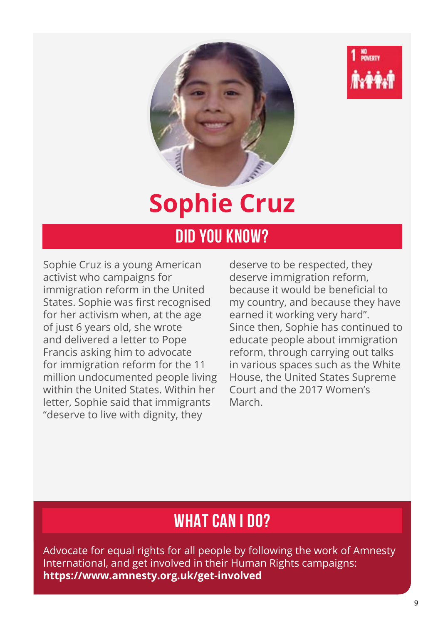



# **Sophie Cruz**

#### **DID YOU KNOW?**

Sophie Cruz is a young American activist who campaigns for immigration reform in the United States. Sophie was first recognised for her activism when, at the age of just 6 years old, she wrote and delivered a letter to Pope Francis asking him to advocate for immigration reform for the 11 million undocumented people living within the United States. Within her letter, Sophie said that immigrants "deserve to live with dignity, they

deserve to be respected, they deserve immigration reform, because it would be beneficial to my country, and because they have earned it working very hard". Since then, Sophie has continued to educate people about immigration reform, through carrying out talks in various spaces such as the White House, the United States Supreme Court and the 2017 Women's March.

#### **WHAT CAN I DO?**

Advocate for equal rights for all people by following the work of Amnesty International, and get involved in their Human Rights campaigns: **https://www.amnesty.org.uk/get-involved**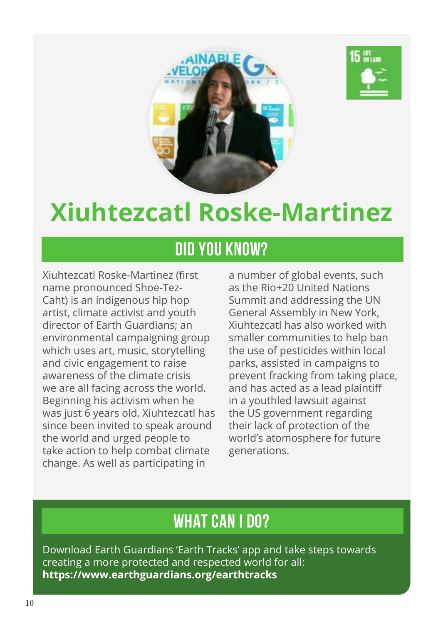



### **Xiuhtezcatl Roske-Martinez**

#### **DID YOU KNOW?**

Xiuhtezcatl Roske-Martinez (first name pronounced Shoe-Tez-Caht) is an indigenous hip hop artist, climate activist and youth director of Earth Guardians; an environmental campaigning group which uses art, music, storytelling and civic engagement to raise awareness of the climate crisis we are all facing across the world. Beginning his activism when he was just 6 years old, Xiuhtezcatl has since been invited to speak around the world and urged people to take action to help combat climate change. As well as participating in

a number of global events, such as the Rio+20 United Nations Summit and addressing the UN General Assembly in New York, Xiuhtezcatl has also worked with smaller communities to help ban the use of pesticides within local parks, assisted in campaigns to prevent fracking from taking place, and has acted as a lead plaintiff in a youthled lawsuit against the US government regarding their lack of protection of the world's atomosphere for future generations.

#### **WHAT CAN I DO?**

Download Earth Guardians 'Earth Tracks' app and take steps towards creating a more protected and respected world for all: **https://www.earthguardians.org/earthtracks**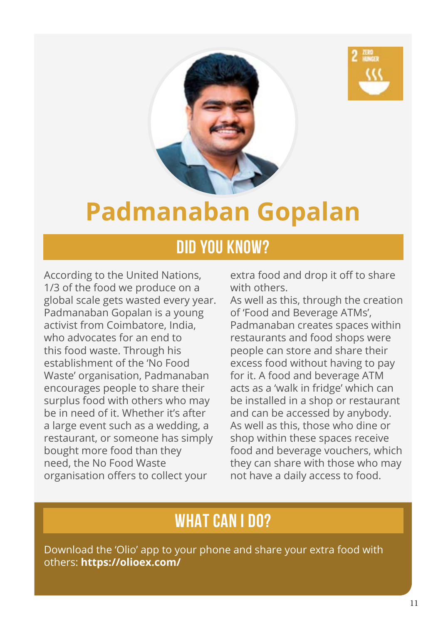



### **Padmanaban Gopalan**

#### **DID YOU KNOW?**

According to the United Nations, 1/3 of the food we produce on a global scale gets wasted every year. Padmanaban Gopalan is a young activist from Coimbatore, India, who advocates for an end to this food waste. Through his establishment of the 'No Food Waste' organisation, Padmanaban encourages people to share their surplus food with others who may be in need of it. Whether it's after a large event such as a wedding, a restaurant, or someone has simply bought more food than they need, the No Food Waste organisation offers to collect your

extra food and drop it off to share with others.

As well as this, through the creation of 'Food and Beverage ATMs', Padmanaban creates spaces within restaurants and food shops were people can store and share their excess food without having to pay for it. A food and beverage ATM acts as a 'walk in fridge' which can be installed in a shop or restaurant and can be accessed by anybody. As well as this, those who dine or shop within these spaces receive food and beverage vouchers, which they can share with those who may not have a daily access to food.

#### **WHAT CAN I DO?**

Download the 'Olio' app to your phone and share your extra food with others: **https://olioex.com/**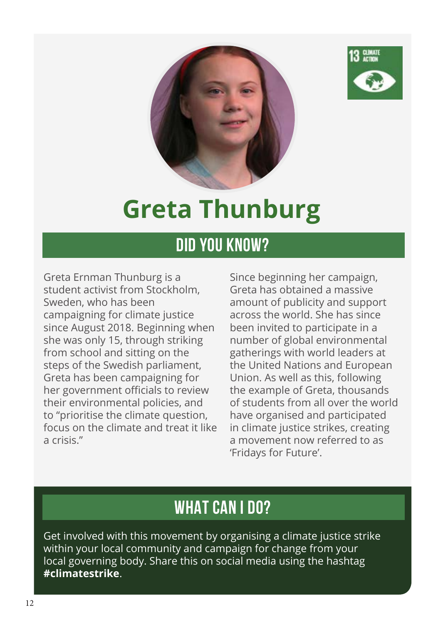



## **Greta Thunburg**

#### **DID YOU KNOW?**

Greta Ernman Thunburg is a student activist from Stockholm, Sweden, who has been campaigning for climate justice since August 2018. Beginning when she was only 15, through striking from school and sitting on the steps of the Swedish parliament, Greta has been campaigning for her government officials to review their environmental policies, and to "prioritise the climate question, focus on the climate and treat it like a crisis."

Since beginning her campaign, Greta has obtained a massive amount of publicity and support across the world. She has since been invited to participate in a number of global environmental gatherings with world leaders at the United Nations and European Union. As well as this, following the example of Greta, thousands of students from all over the world have organised and participated in climate justice strikes, creating a movement now referred to as 'Fridays for Future'.

### **WHAT CAN I DO?**

Get involved with this movement by organising a climate justice strike within your local community and campaign for change from your local governing body. Share this on social media using the hashtag **#climatestrike**.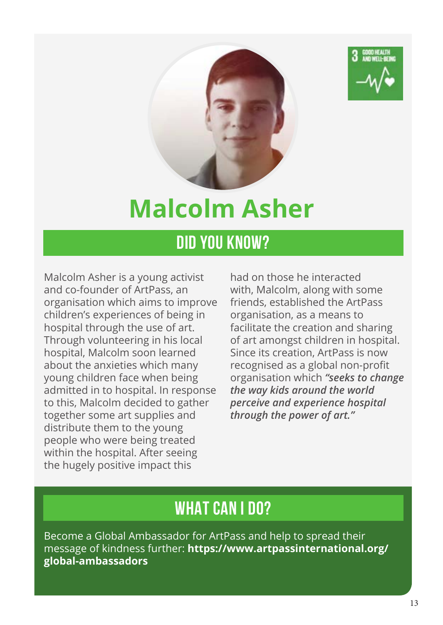



### **Malcolm Asher**

### **DID YOU KNOW?**

Malcolm Asher is a young activist and co-founder of ArtPass, an organisation which aims to improve children's experiences of being in hospital through the use of art. Through volunteering in his local hospital, Malcolm soon learned about the anxieties which many young children face when being admitted in to hospital. In response to this, Malcolm decided to gather together some art supplies and distribute them to the young people who were being treated within the hospital. After seeing the hugely positive impact this

had on those he interacted with, Malcolm, along with some friends, established the ArtPass organisation, as a means to facilitate the creation and sharing of art amongst children in hospital. Since its creation, ArtPass is now recognised as a global non-profit organisation which *"seeks to change the way kids around the world perceive and experience hospital through the power of art."*

#### **WHAT CAN I DO?**

Become a Global Ambassador for ArtPass and help to spread their message of kindness further: **https://www.artpassinternational.org/ global-ambassadors**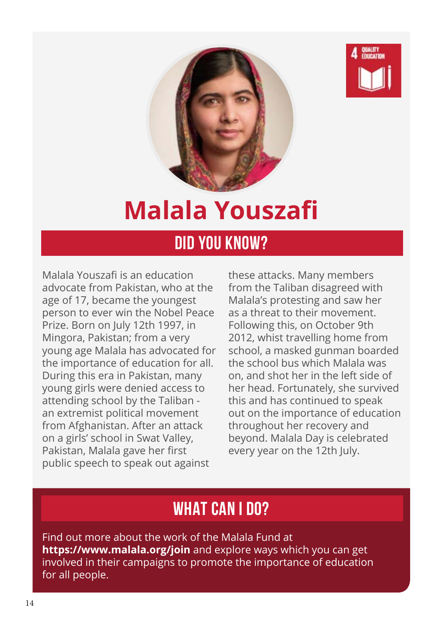



# **Malala Youszafi**

#### **DID YOU KNOW?**

Malala Youszafi is an education advocate from Pakistan, who at the age of 17, became the youngest person to ever win the Nobel Peace Prize. Born on July 12th 1997, in Mingora, Pakistan; from a very young age Malala has advocated for the importance of education for all. During this era in Pakistan, many young girls were denied access to attending school by the Taliban an extremist political movement from Afghanistan. After an attack on a girls' school in Swat Valley, Pakistan, Malala gave her first public speech to speak out against

these attacks. Many members from the Taliban disagreed with Malala's protesting and saw her as a threat to their movement. Following this, on October 9th 2012, whist travelling home from school, a masked gunman boarded the school bus which Malala was on, and shot her in the left side of her head. Fortunately, she survived this and has continued to speak out on the importance of education throughout her recovery and beyond. Malala Day is celebrated every year on the 12th July.

#### **WHAT CAN I DO?**

Find out more about the work of the Malala Fund at **https://www.malala.org/join** and explore ways which you can get involved in their campaigns to promote the importance of education for all people.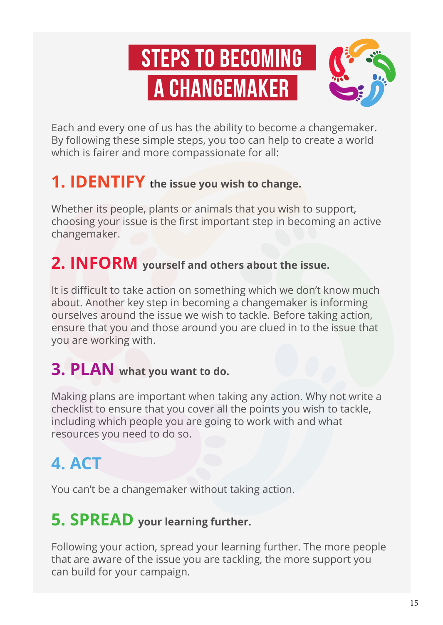# **Steps to Becoming a Changemaker**



Each and every one of us has the ability to become a changemaker. By following these simple steps, you too can help to create a world which is fairer and more compassionate for all:

#### **1. IDENTIFY the issue you wish to change.**

Whether its people, plants or animals that you wish to support, choosing your issue is the first important step in becoming an active changemaker.

#### **2. INFORM yourself and others about the issue.**

It is difficult to take action on something which we don't know much about. Another key step in becoming a changemaker is informing ourselves around the issue we wish to tackle. Before taking action, ensure that you and those around you are clued in to the issue that you are working with.

#### **3. PLAN what you want to do.**

Making plans are important when taking any action. Why not write a checklist to ensure that you cover all the points you wish to tackle, including which people you are going to work with and what resources you need to do so.

### **4. ACT**

You can't be a changemaker without taking action.

#### **5. SPREAD your learning further.**

Following your action, spread your learning further. The more people that are aware of the issue you are tackling, the more support you can build for your campaign.